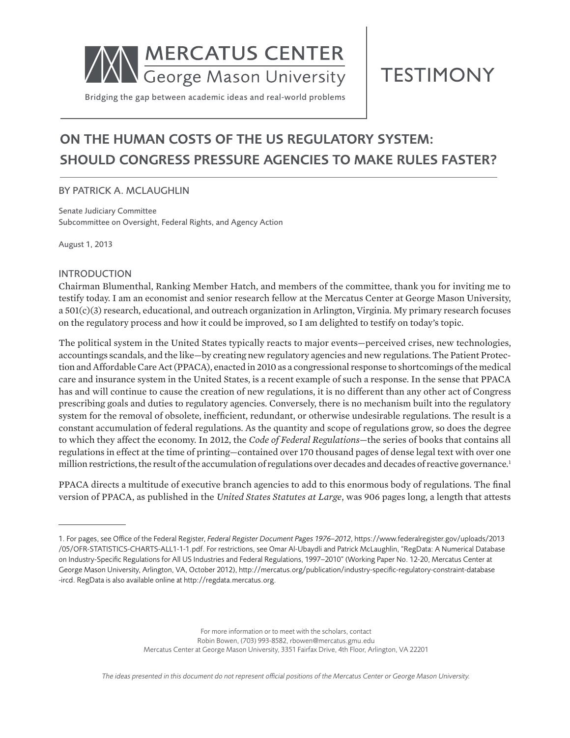

**TESTIMONY** 

Bridging the gap between academic ideas and real-world problems

# ON THE HUMAN COSTS OF THE US REGULATORY SYSTEM: SHOULD CONGRESS PRESSURE AGENCIES TO MAKE RULES FASTER?

### BY PATRICK A. MCLAUGHLIN

Senate Judiciary Committee Subcommittee on Oversight, Federal Rights, and Agency Action

August 1, 2013

#### INTRODUCTION

Chairman Blumenthal, Ranking Member Hatch, and members of the committee, thank you for inviting me to testify today. I am an economist and senior research fellow at the Mercatus Center at George Mason University, a 501(c)(3) research, educational, and outreach organization in Arlington, Virginia. My primary research focuses on the regulatory process and how it could be improved, so I am delighted to testify on today's topic.

The political system in the United States typically reacts to major events—perceived crises, new technologies, accountings scandals, and the like—by creating new regulatory agencies and new regulations.The Patient Protection and Affordable Care Act (PPACA), enacted in 2010 as a congressional response to shortcomings of the medical care and insurance system in the United States, is a recent example of such a response. In the sense that PPACA has and will continue to cause the creation of new regulations, it is no different than any other act of Congress prescribing goals and duties to regulatory agencies. Conversely, there is no mechanism built into the regulatory system for the removal of obsolete, inefficient, redundant, or otherwise undesirable regulations. The result is a constant accumulation of federal regulations. As the quantity and scope of regulations grow, so does the degree to which they affect the economy. In 2012, the *Code of Federal Regulations*—the series of books that contains all regulations in effect at the time of printing—contained over 170 thousand pages of dense legal text with over one million restrictions, the result of the accumulation of regulations over decades and decades of reactive governance.<sup>1</sup>

PPACA directs a multitude of executive branch agencies to add to this enormous body of regulations. The final version of PPACA, as published in the *United States Statutes at Large*, was 906 pages long, a length that attests

For more information or to meet with the scholars, contact Robin Bowen, (703) 993-8582, rbowen@mercatus.gmu.edu Mercatus Center at George Mason University, 3351 Fairfax Drive, 4th Floor, Arlington, VA 22201

<sup>1.</sup> For pages, see Office of the Federal Register, *Federal Register Document Pages 1976–2012*, https://www.federalregister.gov/uploads/2013 /05/OFR-STATISTICS-CHARTS-ALL1-1-1.pdf. For restrictions, see Omar Al-Ubaydli and Patrick McLaughlin, "RegData: A Numerical Database on Industry-Specific Regulations for All US Industries and Federal Regulations, 1997–2010" (Working Paper No. 12-20, Mercatus Center at George Mason University, Arlington, VA, October 2012), http://mercatus.org/publication/industry-specific-regulatory-constraint-database -ircd. RegData is also available online at http://regdata.mercatus.org.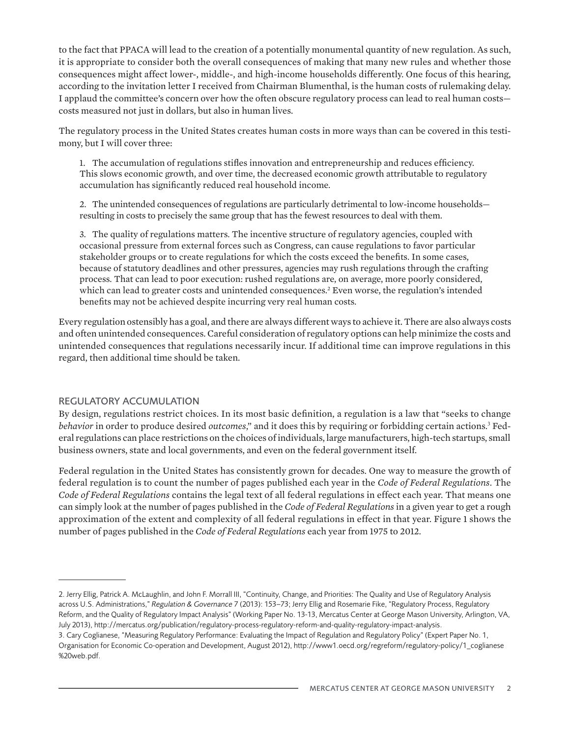to the fact that PPACA will lead to the creation of a potentially monumental quantity of new regulation. As such, it is appropriate to consider both the overall consequences of making that many new rules and whether those consequences might affect lower-, middle-, and high-income households differently. One focus of this hearing, according to the invitation letter I received from Chairman Blumenthal, is the human costs of rulemaking delay. I applaud the committee's concern over how the often obscure regulatory process can lead to real human costs costs measured not just in dollars, but also in human lives.

The regulatory process in the United States creates human costs in more ways than can be covered in this testimony, but I will cover three:

1. The accumulation of regulations stifles innovation and entrepreneurship and reduces efficiency. This slows economic growth, and over time, the decreased economic growth attributable to regulatory accumulation has significantly reduced real household income.

2. The unintended consequences of regulations are particularly detrimental to low-income households resulting in costs to precisely the same group that has the fewest resources to deal with them.

3. The quality of regulations matters. The incentive structure of regulatory agencies, coupled with occasional pressure from external forces such as Congress, can cause regulations to favor particular stakeholder groups or to create regulations for which the costs exceed the benefits. In some cases, because of statutory deadlines and other pressures, agencies may rush regulations through the crafting process. That can lead to poor execution: rushed regulations are, on average, more poorly considered, which can lead to greater costs and unintended consequences.<sup>2</sup> Even worse, the regulation's intended benefits may not be achieved despite incurring very real human costs.

Every regulation ostensibly has a goal, and there are always different ways to achieve it. There are also always costs and often unintended consequences. Careful consideration of regulatory options can help minimize the costs and unintended consequences that regulations necessarily incur. If additional time can improve regulations in this regard, then additional time should be taken.

### REGULATORY ACCUMULATION

By design, regulations restrict choices. In its most basic definition, a regulation is a law that "seeks to change *behavior* in order to produce desired *outcomes*," and it does this by requiring or forbidding certain actions.<sup>3</sup> Federal regulations can place restrictions on the choices of individuals, large manufacturers, high-tech startups, small business owners, state and local governments, and even on the federal government itself.

Federal regulation in the United States has consistently grown for decades. One way to measure the growth of federal regulation is to count the number of pages published each year in the *Code of Federal Regulations*. The *Code of Federal Regulations* contains the legal text of all federal regulations in effect each year. That means one can simply look at the number of pages published in the *Code of Federal Regulations* in a given year to get a rough approximation of the extent and complexity of all federal regulations in effect in that year. Figure 1 shows the number of pages published in the *Code of Federal Regulations* each year from 1975 to 2012.

<sup>2.</sup> Jerry Ellig, Patrick A. McLaughlin, and John F. Morrall III, "Continuity, Change, and Priorities: The Quality and Use of Regulatory Analysis across U.S. Administrations," *Regulation & Governance* 7 (2013): 153–73; Jerry Ellig and Rosemarie Fike, "Regulatory Process, Regulatory Reform, and the Quality of Regulatory Impact Analysis" (Working Paper No. 13-13, Mercatus Center at George Mason University, Arlington, VA, July 2013), http://mercatus.org/publication/regulatory-process-regulatory-reform-and-quality-regulatory-impact-analysis.

<sup>3.</sup> Cary Coglianese, "Measuring Regulatory Performance: Evaluating the Impact of Regulation and Regulatory Policy" (Expert Paper No. 1, Organisation for Economic Co-operation and Development, August 2012), http://www1.oecd.org/regreform/regulatory-policy/1\_coglianese %20web.pdf.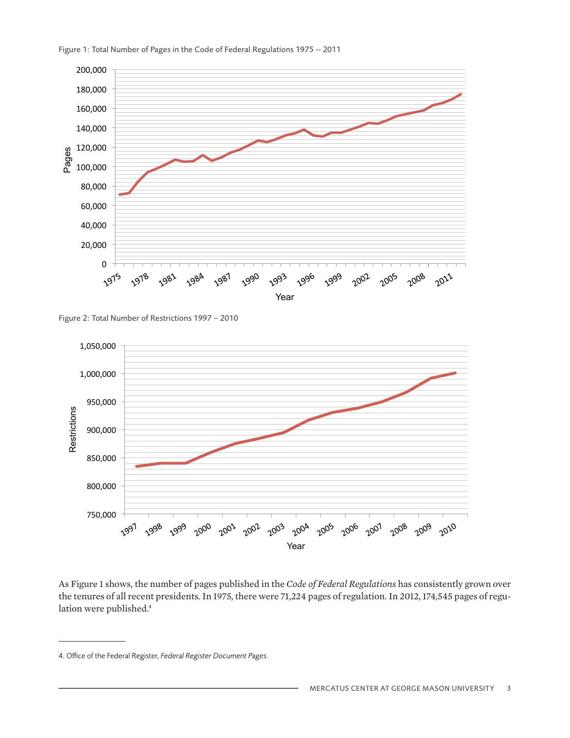

Figure 1: Total Number of Pages in the Code of Federal Regulations 1975 -- 2011

Figure 2: Total Number of Restrictions 1997 - 2010  $1.59122.1014$ 



As Figure 1 shows, the number of pages published in the *Code of Federal Regulations* has consistently grown over the tenures of all recent presidents. In 1975, there were 71,224 pages of regulation. In 2012, 174,545 pages of regulation were published.<sup>4</sup>

<sup>4.</sup> Office of the Federal Register, *Federal Register Document Pages*.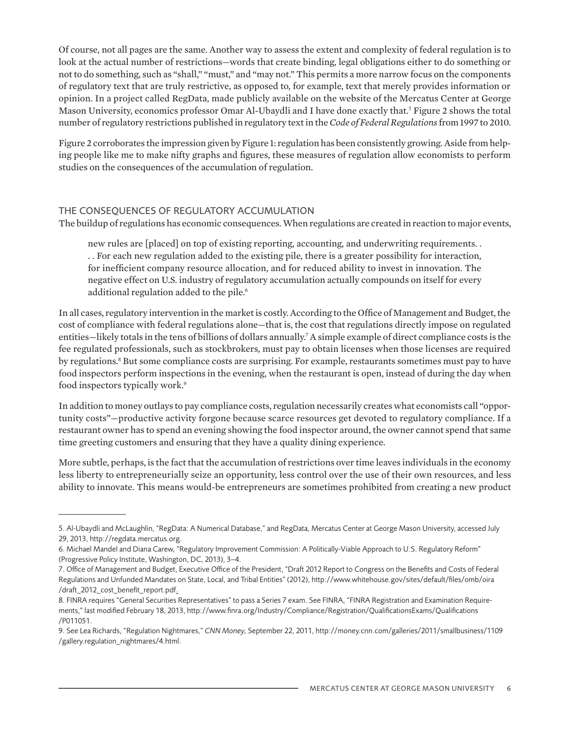Of course, not all pages are the same. Another way to assess the extent and complexity of federal regulation is to look at the actual number of restrictions—words that create binding, legal obligations either to do something or not to do something, such as "shall," "must," and "may not." This permits a more narrow focus on the components of regulatory text that are truly restrictive, as opposed to, for example, text that merely provides information or opinion. In a project called RegData, made publicly available on the website of the Mercatus Center at George Mason University, economics professor Omar Al-Ubaydli and I have done exactly that.<sup>5</sup> Figure 2 shows the total number of regulatory restrictions published in regulatory text in the *Code of Federal Regulations* from 1997 to 2010.

Figure 2 corroborates the impression given by Figure 1: regulation has been consistently growing. Aside from helping people like me to make nifty graphs and figures, these measures of regulation allow economists to perform studies on the consequences of the accumulation of regulation.

## THE CONSEQUENCES OF REGULATORY ACCUMULATION

The buildup of regulations has economic consequences. When regulations are created in reaction to major events,

new rules are [placed] on top of existing reporting, accounting, and underwriting requirements. . . . For each new regulation added to the existing pile, there is a greater possibility for interaction, for inefficient company resource allocation, and for reduced ability to invest in innovation. The negative effect on U.S. industry of regulatory accumulation actually compounds on itself for every additional regulation added to the pile.<sup>6</sup>

In all cases, regulatory intervention in the market is costly. According to the Office of Management and Budget, the cost of compliance with federal regulations alone—that is, the cost that regulations directly impose on regulated entities—likely totals in the tens of billions of dollars annually.7 A simple example of direct compliance costs is the fee regulated professionals, such as stockbrokers, must pay to obtain licenses when those licenses are required by regulations.<sup>8</sup> But some compliance costs are surprising. For example, restaurants sometimes must pay to have food inspectors perform inspections in the evening, when the restaurant is open, instead of during the day when food inspectors typically work.9

In addition to money outlays to pay compliance costs, regulation necessarily creates what economists call "opportunity costs"—productive activity forgone because scarce resources get devoted to regulatory compliance. If a restaurant owner has to spend an evening showing the food inspector around, the owner cannot spend that same time greeting customers and ensuring that they have a quality dining experience.

More subtle, perhaps, is the fact that the accumulation of restrictions over time leaves individuals in the economy less liberty to entrepreneurially seize an opportunity, less control over the use of their own resources, and less ability to innovate. This means would-be entrepreneurs are sometimes prohibited from creating a new product

<sup>5.</sup> Al-Ubaydli and McLaughlin, "RegData: A Numerical Database," and RegData, Mercatus Center at George Mason University, accessed July 29, 2013, http://regdata.mercatus.org.

<sup>6.</sup> Michael Mandel and Diana Carew, "Regulatory Improvement Commission: A Politically-Viable Approach to U.S. Regulatory Reform" (Progressive Policy Institute, Washington, DC, 2013), 3–4.

<sup>7.</sup> Office of Management and Budget, Executive Office of the President, "Draft 2012 Report to Congress on the Benefits and Costs of Federal Regulations and Unfunded Mandates on State, Local, and Tribal Entities" (2012), http://www.whitehouse.gov/sites/default/files/omb/oira /draft\_2012\_cost\_benefit\_report.pdf.

<sup>8.</sup> FINRA requires "General Securities Representatives" to pass a Series 7 exam. See FINRA, "FINRA Registration and Examination Requirements," last modified February 18, 2013, http://www.finra.org/Industry/Compliance/Registration/QualificationsExams/Qualifications /P011051.

<sup>9.</sup> See Lea Richards, "Regulation Nightmares," *CNN Money,* September 22, 2011, http://money.cnn.com/galleries/2011/smallbusiness/1109 /gallery.regulation\_nightmares/4.html.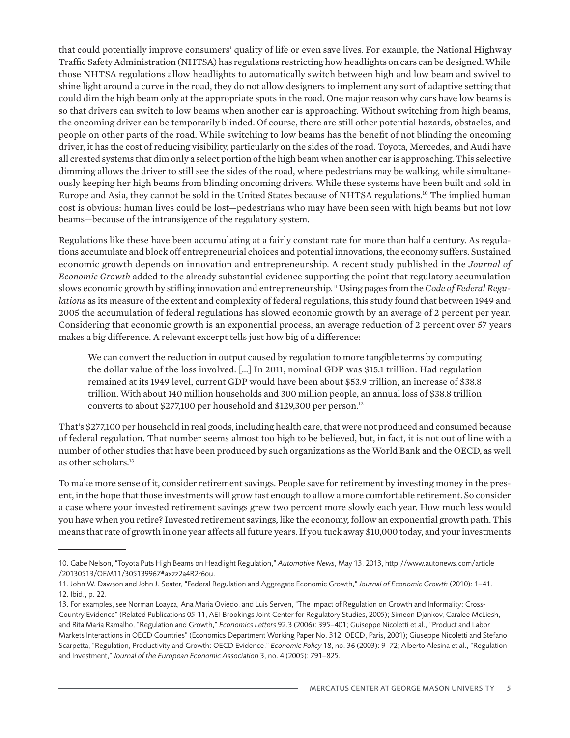that could potentially improve consumers' quality of life or even save lives. For example, the National Highway Traffic Safety Administration (NHTSA) has regulations restricting how headlights on cars can be designed. While those NHTSA regulations allow headlights to automatically switch between high and low beam and swivel to shine light around a curve in the road, they do not allow designers to implement any sort of adaptive setting that could dim the high beam only at the appropriate spots in the road. One major reason why cars have low beams is so that drivers can switch to low beams when another car is approaching. Without switching from high beams, the oncoming driver can be temporarily blinded. Of course, there are still other potential hazards, obstacles, and people on other parts of the road. While switching to low beams has the benefit of not blinding the oncoming driver, it has the cost of reducing visibility, particularly on the sides of the road. Toyota, Mercedes, and Audi have all created systems that dim only a select portion of the high beam when another car is approaching. This selective dimming allows the driver to still see the sides of the road, where pedestrians may be walking, while simultaneously keeping her high beams from blinding oncoming drivers. While these systems have been built and sold in Europe and Asia, they cannot be sold in the United States because of NHTSA regulations.10 The implied human cost is obvious: human lives could be lost—pedestrians who may have been seen with high beams but not low beams—because of the intransigence of the regulatory system.

Regulations like these have been accumulating at a fairly constant rate for more than half a century. As regulations accumulate and block off entrepreneurial choices and potential innovations, the economy suffers. Sustained economic growth depends on innovation and entrepreneurship. A recent study published in the *Journal of Economic Growth* added to the already substantial evidence supporting the point that regulatory accumulation slows economic growth by stifling innovation and entrepreneurship.11 Using pages from the *Code of Federal Regulations* as its measure of the extent and complexity of federal regulations, this study found that between 1949 and 2005 the accumulation of federal regulations has slowed economic growth by an average of 2 percent per year. Considering that economic growth is an exponential process, an average reduction of 2 percent over 57 years makes a big difference. A relevant excerpt tells just how big of a difference:

We can convert the reduction in output caused by regulation to more tangible terms by computing the dollar value of the loss involved. […] In 2011, nominal GDP was \$15.1 trillion. Had regulation remained at its 1949 level, current GDP would have been about \$53.9 trillion, an increase of \$38.8 trillion. With about 140 million households and 300 million people, an annual loss of \$38.8 trillion converts to about \$277,100 per household and \$129,300 per person.12

That's \$277,100 per household in real goods, including health care, that were not produced and consumed because of federal regulation. That number seems almost too high to be believed, but, in fact, it is not out of line with a number of other studies that have been produced by such organizations as the World Bank and the OECD, as well as other scholars.13

To make more sense of it, consider retirement savings. People save for retirement by investing money in the present, in the hope that those investments will grow fast enough to allow a more comfortable retirement. So consider a case where your invested retirement savings grew two percent more slowly each year. How much less would you have when you retire? Invested retirement savings, like the economy, follow an exponential growth path. This means that rate of growth in one year affects all future years. If you tuck away \$10,000 today, and your investments

<sup>10.</sup> Gabe Nelson, "Toyota Puts High Beams on Headlight Regulation," *Automotive News*, May 13, 2013, http://www.autonews.com/article /20130513/OEM11/305139967#axzz2a4R2r6ou.

<sup>11.</sup> John W. Dawson and John J. Seater, "Federal Regulation and Aggregate Economic Growth," *Journal of Economic Growth* (2010): 1–41. 12. Ibid., p. 22.

<sup>13.</sup> For examples, see Norman Loayza, Ana Maria Oviedo, and Luis Serven, "The Impact of Regulation on Growth and Informality: Cross-Country Evidence" (Related Publications 05-11, AEI-Brookings Joint Center for Regulatory Studies, 2005); Simeon Djankov, Caralee McLiesh, and Rita Maria Ramalho, "Regulation and Growth," *Economics Letters* 92.3 (2006): 395–401; Guiseppe Nicoletti et al., "Product and Labor Markets Interactions in OECD Countries" (Economics Department Working Paper No. 312, OECD, Paris, 2001); Giuseppe Nicoletti and Stefano Scarpetta, "Regulation, Productivity and Growth: OECD Evidence," *Economic Policy* 18, no. 36 (2003): 9–72; Alberto Alesina et al., "Regulation and Investment," *Journal of the European Economic Association* 3, no. 4 (2005): 791–825.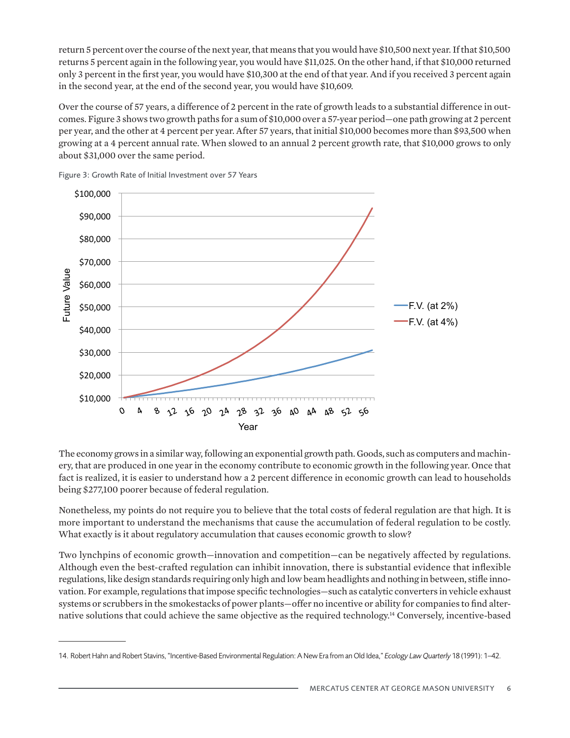return 5 percent over the course of the next year, that means that you would have \$10,500 next year. If that \$10,500 returns 5 percent again in the following year, you would have \$11,025. On the other hand, if that \$10,000 returned only 3 percent in the first year, you would have \$10,300 at the end of that year. And if you received 3 percent again in the second year, at the end of the second year, you would have \$10,609.

Over the course of 57 years, a difference of 2 percent in the rate of growth leads to a substantial difference in outcomes. Figure 3 shows two growth paths for a sum of \$10,000 over a 57-year period—one path growing at 2 percent per year, and the other at 4 percent per year. After 57 years, that initial \$10,000 becomes more than \$93,500 when growing at a 4 percent annual rate. When slowed to an annual 2 percent growth rate, that \$10,000 grows to only about \$31,000 over the same period.



Figure 3: Growth Rate of Initial Investment over 57 Years

The economy grows in a similar way, following an exponential growth path. Goods, such as computers and machinery, that are produced in one year in the economy contribute to economic growth in the following year. Once that fact is realized, it is easier to understand how a 2 percent difference in economic growth can lead to households being \$277,100 poorer because of federal regulation. The economy grows in a similar way, following an expone  $\cos\varphi$   $\cos\varphi$   $\cos\varphi$  and  $\cos\varphi$  is the set of  $\sin\varphi$  is a set of  $\sin\varphi$ 

Nonetheless, my points do not require you to believe that the total costs of federal regulation are that high. It is more important to understand the mechanisms that cause the accumulation of federal regulation to be costly. What exactly is it about regulatory accumulation that causes economic growth to slow? vonemeress, my points do not require you to beneve th

Two lynchpins of economic growth—innovation and competition—can be negatively affected by regulations. Although even the best-crafted regulation can inhibit innovation, there is substantial evidence that inflexible regulations, like design standards requiring only high and low beam headlights and nothing in between, stifle innovation. For example, regulations that impose specific technologies—such as catalytic converters in vehicle exhaust systems or scrubbers in the smokestacks of power plants—offer no incentive or ability for companies to find alternative solutions that could achieve the same objective as the required technology.14 Conversely, incentive-based

<sup>14.</sup> Robert Hahn and Robert Stavins, "Incentive-Based Environmental Regulation: A New Era from an Old Idea," *Ecology Law Quarterly* 18 (1991): 1–42.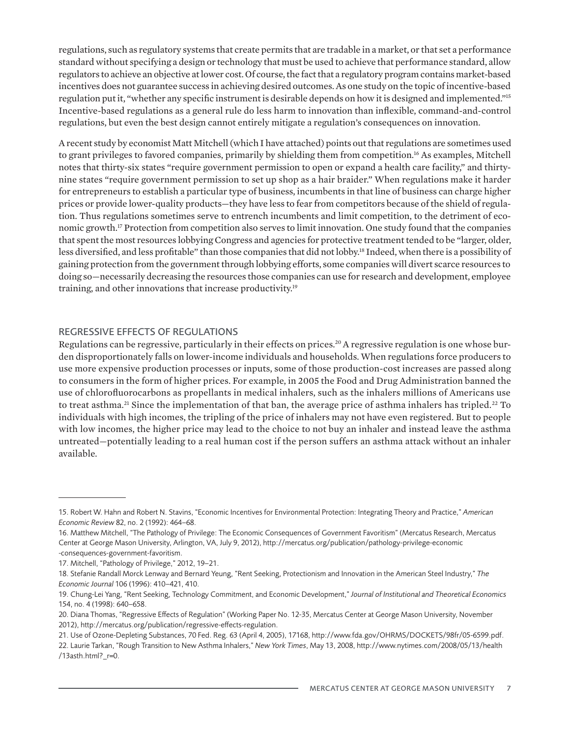regulations, such as regulatory systems that create permits that are tradable in a market, or that set a performance standard without specifying a design or technology that must be used to achieve that performance standard, allow regulators to achieve an objective at lower cost. Of course, the fact that a regulatory program contains market-based incentives does not guarantee success in achieving desired outcomes. As one study on the topic of incentive-based regulation put it, "whether any specific instrument is desirable depends on how it is designed and implemented."15 Incentive-based regulations as a general rule do less harm to innovation than inflexible, command-and-control regulations, but even the best design cannot entirely mitigate a regulation's consequences on innovation.

A recent study by economist Matt Mitchell (which I have attached) points out that regulations are sometimes used to grant privileges to favored companies, primarily by shielding them from competition.16 As examples, Mitchell notes that thirty-six states "require government permission to open or expand a health care facility," and thirtynine states "require government permission to set up shop as a hair braider." When regulations make it harder for entrepreneurs to establish a particular type of business, incumbents in that line of business can charge higher prices or provide lower-quality products—they have less to fear from competitors because of the shield of regulation. Thus regulations sometimes serve to entrench incumbents and limit competition, to the detriment of economic growth.17 Protection from competition also serves to limit innovation. One study found that the companies that spent the most resources lobbying Congress and agencies for protective treatment tended to be "larger, older, less diversified, and less profitable" than those companies that did not lobby.18 Indeed, when there is a possibility of gaining protection from the government through lobbying efforts, some companies will divert scarce resources to doing so—necessarily decreasing the resources those companies can use for research and development, employee training, and other innovations that increase productivity.19

#### REGRESSIVE EFFECTS OF REGULATIONS

Regulations can be regressive, particularly in their effects on prices.<sup>20</sup> A regressive regulation is one whose burden disproportionately falls on lower-income individuals and households. When regulations force producers to use more expensive production processes or inputs, some of those production-cost increases are passed along to consumers in the form of higher prices. For example, in 2005 the Food and Drug Administration banned the use of chlorofluorocarbons as propellants in medical inhalers, such as the inhalers millions of Americans use to treat asthma.<sup>21</sup> Since the implementation of that ban, the average price of asthma inhalers has tripled.<sup>22</sup> To individuals with high incomes, the tripling of the price of inhalers may not have even registered. But to people with low incomes, the higher price may lead to the choice to not buy an inhaler and instead leave the asthma untreated—potentially leading to a real human cost if the person suffers an asthma attack without an inhaler available.

<sup>15.</sup> Robert W. Hahn and Robert N. Stavins, "Economic Incentives for Environmental Protection: Integrating Theory and Practice," *American Economic Review* 82, no. 2 (1992): 464–68.

<sup>16.</sup> Matthew Mitchell, "The Pathology of Privilege: The Economic Consequences of Government Favoritism" (Mercatus Research, Mercatus Center at George Mason University, Arlington, VA, July 9, 2012), http://mercatus.org/publication/pathology-privilege-economic -consequences-government-favoritism.

<sup>17.</sup> Mitchell, "Pathology of Privilege," 2012, 19–21.

<sup>18.</sup> Stefanie Randall Morck Lenway and Bernard Yeung, "Rent Seeking, Protectionism and Innovation in the American Steel Industry," *The Economic Journal* 106 (1996): 410–421, 410.

<sup>19.</sup> Chung-Lei Yang, "Rent Seeking, Technology Commitment, and Economic Development," *Journal of Institutional and Theoretical Economics*  154, no. 4 (1998): 640–658.

<sup>20.</sup> Diana Thomas, "Regressive Effects of Regulation" (Working Paper No. 12-35, Mercatus Center at George Mason University, November 2012), http://mercatus.org/publication/regressive-effects-regulation.

<sup>21.</sup> Use of Ozone-Depleting Substances, 70 Fed. Reg. 63 (April 4, 2005), 17168, http://www.fda.gov/OHRMS/DOCKETS/98fr/05-6599.pdf. 22. Laurie Tarkan, "Rough Transition to New Asthma Inhalers," *New York Times*, May 13, 2008, http://www.nytimes.com/2008/05/13/health /13asth.html?\_r=0.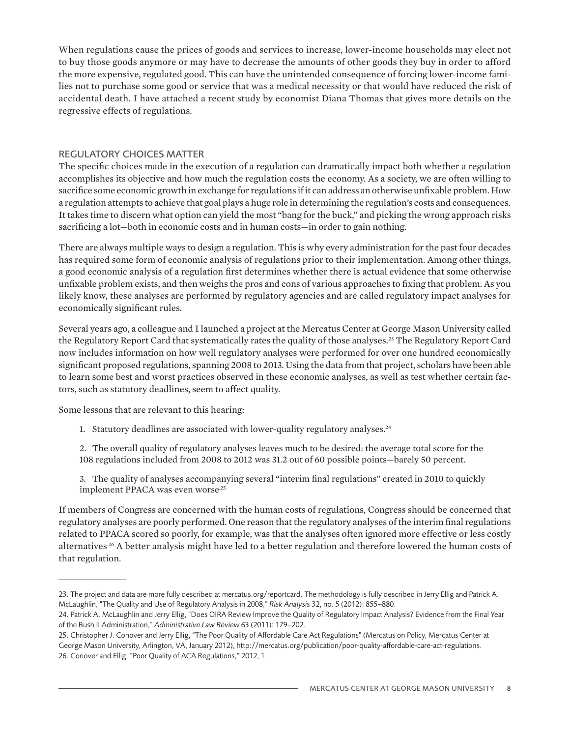When regulations cause the prices of goods and services to increase, lower-income households may elect not to buy those goods anymore or may have to decrease the amounts of other goods they buy in order to afford the more expensive, regulated good. This can have the unintended consequence of forcing lower-income families not to purchase some good or service that was a medical necessity or that would have reduced the risk of accidental death. I have attached a recent study by economist Diana Thomas that gives more details on the regressive effects of regulations.

## REGULATORY CHOICES MATTER

The specific choices made in the execution of a regulation can dramatically impact both whether a regulation accomplishes its objective and how much the regulation costs the economy. As a society, we are often willing to sacrifice some economic growth in exchange for regulations if it can address an otherwise unfixable problem. How a regulation attempts to achieve that goal plays a huge role in determining the regulation's costs and consequences. It takes time to discern what option can yield the most "bang for the buck," and picking the wrong approach risks sacrificing a lot—both in economic costs and in human costs—in order to gain nothing.

There are always multiple ways to design a regulation. This is why every administration for the past four decades has required some form of economic analysis of regulations prior to their implementation. Among other things, a good economic analysis of a regulation first determines whether there is actual evidence that some otherwise unfixable problem exists, and then weighs the pros and cons of various approaches to fixing that problem. As you likely know, these analyses are performed by regulatory agencies and are called regulatory impact analyses for economically significant rules.

Several years ago, a colleague and I launched a project at the Mercatus Center at George Mason University called the Regulatory Report Card that systematically rates the quality of those analyses.<sup>23</sup> The Regulatory Report Card now includes information on how well regulatory analyses were performed for over one hundred economically significant proposed regulations, spanning 2008 to 2013. Using the data from that project, scholars have been able to learn some best and worst practices observed in these economic analyses, as well as test whether certain factors, such as statutory deadlines, seem to affect quality.

Some lessons that are relevant to this hearing:

1. Statutory deadlines are associated with lower-quality regulatory analyses.<sup>24</sup>

2. The overall quality of regulatory analyses leaves much to be desired: the average total score for the 108 regulations included from 2008 to 2012 was 31.2 out of 60 possible points—barely 50 percent.

3. The quality of analyses accompanying several "interim final regulations" created in 2010 to quickly implement PPACA was even worse<sup>25</sup>

If members of Congress are concerned with the human costs of regulations, Congress should be concerned that regulatory analyses are poorly performed. One reason that the regulatory analyses of the interim final regulations related to PPACA scored so poorly, for example, was that the analyses often ignored more effective or less costly alternatives<sup>26</sup> A better analysis might have led to a better regulation and therefore lowered the human costs of that regulation.

<sup>23.</sup> The project and data are more fully described at mercatus.org/reportcard. The methodology is fully described in Jerry Ellig and Patrick A. McLaughlin, "The Quality and Use of Regulatory Analysis in 2008," *Risk Analysis* 32, no. 5 (2012): 855–880.

<sup>24.</sup> Patrick A. McLaughlin and Jerry Ellig, "Does OIRA Review Improve the Quality of Regulatory Impact Analysis? Evidence from the Final Year of the Bush II Administration," *Administrative Law Review* 63 (2011): 179–202.

<sup>25.</sup> Christopher J. Conover and Jerry Ellig, "The Poor Quality of Affordable Care Act Regulations" (Mercatus on Policy, Mercatus Center at George Mason University, Arlington, VA, January 2012), http://mercatus.org/publication/poor-quality-affordable-care-act-regulations. 26. Conover and Ellig, "Poor Quality of ACA Regulations," 2012, 1.